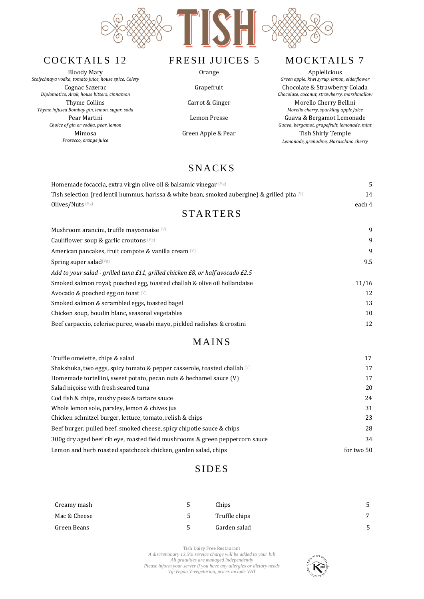

Bloody Mary *Stolychnaya vodka, tomato juice, house spice, Celery* Cognac Sazerac *Diplomatico, Arak, house bitters, cinnamon* Thyme Collins *Thyme infused Bombay gin, lemon, sugar, soda* Pear Martini *Choice of gin or vodka, pear, lemon* Mimosa *Prosecco, orange juice*





*Green apple, kiwi syrup, lemon, elderflower*  Grapefruit Chocolate & Strawberry Colada *Chocolate, coconut, strawberry, marshmallow* Carrot & Ginger Morello Cherry Bellini *Morello cherry, sparkling apple juice* Lemon Presse Guava & Bergamot Lemonade *Guava, bergamot, grapefruit, lemonade, mint* Green Apple & Pear Tish Shirly Temple *Lemonade, grenadine, Maraschino cherry*

## **SNACKS**

| Homemade focaccia, extra virgin olive oil & balsamic vinegar $(\forall g)$                             | 5      |  |  |  |
|--------------------------------------------------------------------------------------------------------|--------|--|--|--|
| Tish selection (red lentil hummus, harissa & white bean, smoked aubergine) & grilled pita $\mathbb{W}$ | 14     |  |  |  |
| Olives/Nuts (Vg)                                                                                       | each 4 |  |  |  |
| <b>STARTERS</b>                                                                                        |        |  |  |  |
| Mushroom arancini, truffle mayonnaise $[W]$                                                            | 9      |  |  |  |
| Cauliflower soup & garlic croutons $(Vg)$                                                              | 9      |  |  |  |
| American pancakes, fruit compote & vanilla cream (V)                                                   | 9      |  |  |  |
| Spring super salad $(\forall g)$                                                                       | 9.5    |  |  |  |
| Add to your salad - grilled tuna £11, grilled chicken £8, or half avocado £2.5                         |        |  |  |  |
| Smoked salmon royal; poached egg, toasted challah & olive oil hollandaise                              | 11/16  |  |  |  |
| Avocado & poached egg on toast $[V]$                                                                   | 12     |  |  |  |
| Smoked salmon & scrambled eggs, toasted bagel                                                          | 13     |  |  |  |
| Chicken soup, boudin blanc, seasonal vegetables                                                        | 10     |  |  |  |
| Beef carpaccio, celeriac puree, wasabi mayo, pickled radishes & crostini                               | 12     |  |  |  |
|                                                                                                        |        |  |  |  |

### **MAINS**

| Truffle omelette, chips & salad                                                    | 17         |
|------------------------------------------------------------------------------------|------------|
| Shakshuka, two eggs, spicy tomato & pepper casserole, toasted challah $\mathbb{U}$ | 17         |
| Homemade tortellini, sweet potato, pecan nuts & bechamel sauce (V)                 | 17         |
| Salad nicoise with fresh seared tuna                                               | 20         |
| Cod fish & chips, mushy peas & tartare sauce                                       | 24         |
| Whole lemon sole, parsley, lemon & chives jus                                      | 31         |
| Chicken schnitzel burger, lettuce, tomato, relish & chips                          | 23         |
| Beef burger, pulled beef, smoked cheese, spicy chipotle sauce & chips              | 28         |
| 300g dry aged beef rib eye, roasted field mushrooms & green peppercorn sauce       | 34         |
| Lemon and herb roasted spatchcock chicken, garden salad, chips                     | for two 50 |

### **SIDES**

| Creamy mash  |    | Chips         | 5            |
|--------------|----|---------------|--------------|
| Mac & Cheese | 5. | Truffle chips | $\mathbf{z}$ |
| Green Beans  | ь  | Garden salad  |              |

Tish Dairy Free Restaurant *A discretionary 13.5% service charge will be added to your bill All gratuities are managed independently Please inform your server if you have any allergies or dietary needs Vg-Vegan V-vegetarian, prices include VAT*